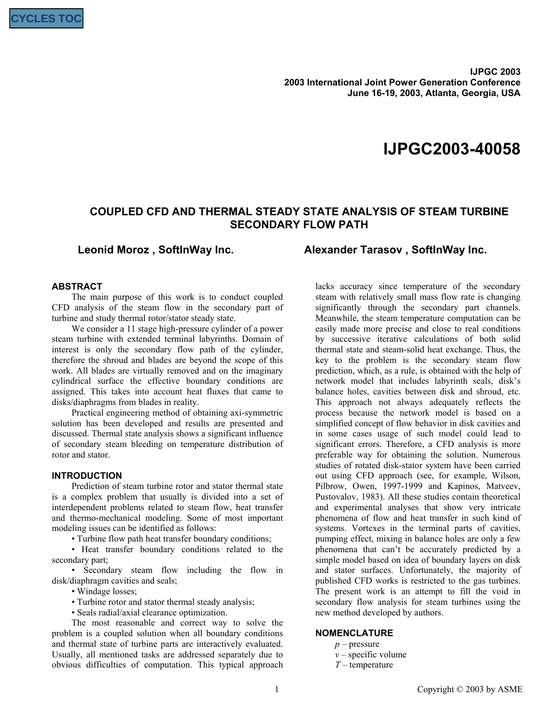**IJPGC 2003 2003 International Joint Power Generation Conference June 16-19, 2003, Atlanta, Georgia, USA** 

# **IJPGC2003-40058**

## **COUPLED CFD AND THERMAL STEADY STATE ANALYSIS OF STEAM TURBINE SECONDARY FLOW PATH**

**Leonid Moroz , SoftInWay Inc. Alexander Tarasov , SoftInWay Inc.**

### **ABSTRACT**

The main purpose of this work is to conduct coupled CFD analysis of the steam flow in the secondary part of turbine and study thermal rotor/stator steady state.

We consider a 11 stage high-pressure cylinder of a power steam turbine with extended terminal labyrinths. Domain of interest is only the secondary flow path of the cylinder, therefore the shroud and blades are beyond the scope of this work. All blades are virtually removed and on the imaginary cylindrical surface the effective boundary conditions are assigned. This takes into account heat fluxes that came to disks/diaphragms from blades in reality.

Practical engineering method of obtaining axi-symmetric solution has been developed and results are presented and discussed. Thermal state analysis shows a significant influence of secondary steam bleeding on temperature distribution of rotor and stator.

#### **INTRODUCTION**

Prediction of steam turbine rotor and stator thermal state is a complex problem that usually is divided into a set of interdependent problems related to steam flow, heat transfer and thermo-mechanical modeling. Some of most important modeling issues can be identified as follows:

• Turbine flow path heat transfer boundary conditions;

• Heat transfer boundary conditions related to the secondary part;

• Secondary steam flow including the flow in disk/diaphragm cavities and seals;

• Windage losses:

• Turbine rotor and stator thermal steady analysis;

• Seals radial/axial clearance optimization.

The most reasonable and correct way to solve the problem is a coupled solution when all boundary conditions and thermal state of turbine parts are interactively evaluated. Usually, all mentioned tasks are addressed separately due to obvious difficulties of computation. This typical approach

lacks accuracy since temperature of the secondary steam with relatively small mass flow rate is changing significantly through the secondary part channels. Meanwhile, the steam temperature computation can be easily made more precise and close to real conditions by successive iterative calculations of both solid thermal state and steam-solid heat exchange. Thus, the key to the problem is the secondary steam flow prediction, which, as a rule, is obtained with the help of network model that includes labyrinth seals, disk's balance holes, cavities between disk and shroud, etc. This approach not always adequately reflects the process because the network model is based on a simplified concept of flow behavior in disk cavities and in some cases usage of such model could lead to significant errors. Therefore, a CFD analysis is more preferable way for obtaining the solution. Numerous studies of rotated disk-stator system have been carried out using CFD approach (see, for example, Wilson, Pilbrow, Owen, 1997-1999 and Kapinos, Matveev, Pustovalov, 1983). All these studies contain theoretical and experimental analyses that show very intricate phenomena of flow and heat transfer in such kind of systems. Vortexes in the terminal parts of cavities, pumping effect, mixing in balance holes are only a few phenomena that can't be accurately predicted by a simple model based on idea of boundary layers on disk and stator surfaces. Unfortunately, the majority of published CFD works is restricted to the gas turbines. The present work is an attempt to fill the void in secondary flow analysis for steam turbines using the new method developed by authors.

#### **NOMENCLATURE**

- *p* pressure
- $v$  specific volume
- *T* temperature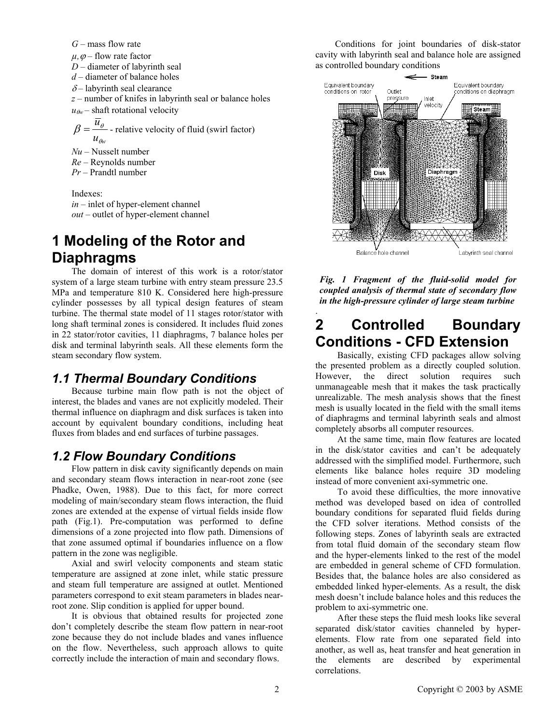*G* – mass flow rate

 $\mu$ ,  $\varphi$  – flow rate factor

*D* – diameter of labyrinth seal

*d* – diameter of balance holes

 $\delta$  – labyrinth seal clearance

*z* – number of knifes in labyrinth seal or balance holes  $u_{\theta w}$ – shaft rotational velocity

 $u_{\theta w}$  $\beta = \frac{\overline{u}_{\theta}}{u}$  - relative velocity of fluid (swirl factor)

*Nu* – Nusselt number

*Re* – Reynolds number

*Pr* – Prandtl number

Indexes: *in* – inlet of hyper-element channel *out* – outlet of hyper-element channel

# **1 Modeling of the Rotor and Diaphragms**

The domain of interest of this work is a rotor/stator system of a large steam turbine with entry steam pressure 23.5 MPa and temperature 810 K. Considered here high-pressure cylinder possesses by all typical design features of steam turbine. The thermal state model of 11 stages rotor/stator with long shaft terminal zones is considered. It includes fluid zones in 22 stator/rotor cavities, 11 diaphragms, 7 balance holes per disk and terminal labyrinth seals. All these elements form the steam secondary flow system.

## *1.1 Thermal Boundary Conditions*

Because turbine main flow path is not the object of interest, the blades and vanes are not explicitly modeled. Their thermal influence on diaphragm and disk surfaces is taken into account by equivalent boundary conditions, including heat fluxes from blades and end surfaces of turbine passages.

## *1.2 Flow Boundary Conditions*

Flow pattern in disk cavity significantly depends on main and secondary steam flows interaction in near-root zone (see Phadke, Owen, 1988). Due to this fact, for more correct modeling of main/secondary steam flows interaction, the fluid zones are extended at the expense of virtual fields inside flow path (Fig.1). Pre-computation was performed to define dimensions of a zone projected into flow path. Dimensions of that zone assumed optimal if boundaries influence on a flow pattern in the zone was negligible.

Axial and swirl velocity components and steam static temperature are assigned at zone inlet, while static pressure and steam full temperature are assigned at outlet. Mentioned parameters correspond to exit steam parameters in blades nearroot zone. Slip condition is applied for upper bound.

It is obvious that obtained results for projected zone don't completely describe the steam flow pattern in near-root zone because they do not include blades and vanes influence on the flow. Nevertheless, such approach allows to quite correctly include the interaction of main and secondary flows.

Conditions for joint boundaries of disk-stator cavity with labyrinth seal and balance hole are assigned as controlled boundary conditions



*Fig. 1 Fragment of the fluid-solid model for coupled analysis of thermal state of secondary flow in the high-pressure cylinder of large steam turbine* 

# . **2 Controlled Boundary Conditions - CFD Extension**

 Basically, existing CFD packages allow solving the presented problem as a directly coupled solution. However, the direct solution requires such unmanageable mesh that it makes the task practically unrealizable. The mesh analysis shows that the finest mesh is usually located in the field with the small items of diaphragms and terminal labyrinth seals and almost completely absorbs all computer resources.

 At the same time, main flow features are located in the disk/stator cavities and can't be adequately addressed with the simplified model. Furthermore, such elements like balance holes require 3D modeling instead of more convenient axi-symmetric one.

 To avoid these difficulties, the more innovative method was developed based on idea of controlled boundary conditions for separated fluid fields during the CFD solver iterations. Method consists of the following steps. Zones of labyrinth seals are extracted from total fluid domain of the secondary steam flow and the hyper-elements linked to the rest of the model are embedded in general scheme of CFD formulation. Besides that, the balance holes are also considered as embedded linked hyper-elements. As a result, the disk mesh doesn't include balance holes and this reduces the problem to axi-symmetric one.

 After these steps the fluid mesh looks like several separated disk/stator cavities channeled by hyperelements. Flow rate from one separated field into another, as well as, heat transfer and heat generation in the elements are described by experimental correlations.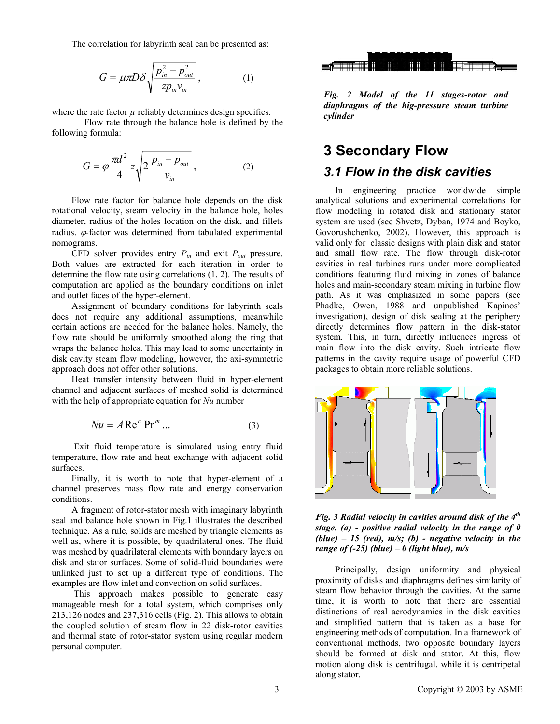The correlation for labyrinth seal can be presented as:

$$
G = \mu \pi D \delta \sqrt{\frac{p_{in}^2 - p_{out}^2}{zp_{in} v_{in}}},
$$
 (1)

where the rate factor  $\mu$  reliably determines design specifics.

Flow rate through the balance hole is defined by the following formula:

$$
G = \varphi \frac{\pi d^2}{4} z \sqrt{2 \frac{p_{in} - p_{out}}{v_{in}}},
$$
 (2)

Flow rate factor for balance hole depends on the disk rotational velocity, steam velocity in the balance hole, holes diameter, radius of the holes location on the disk, and fillets radius.  $\varphi$ -factor was determined from tabulated experimental nomograms.

CFD solver provides entry *Pin* and exit *Pout* pressure. Both values are extracted for each iteration in order to determine the flow rate using correlations (1, 2). The results of computation are applied as the boundary conditions on inlet and outlet faces of the hyper-element.

Assignment of boundary conditions for labyrinth seals does not require any additional assumptions, meanwhile certain actions are needed for the balance holes. Namely, the flow rate should be uniformly smoothed along the ring that wraps the balance holes. This may lead to some uncertainty in disk cavity steam flow modeling, however, the axi-symmetric approach does not offer other solutions.

Heat transfer intensity between fluid in hyper-element channel and adjacent surfaces of meshed solid is determined with the help of appropriate equation for *Nu* number

$$
Nu = A \operatorname{Re}^n \operatorname{Pr}^m \dots \tag{3}
$$

 Exit fluid temperature is simulated using entry fluid temperature, flow rate and heat exchange with adjacent solid surfaces.

Finally, it is worth to note that hyper-element of a channel preserves mass flow rate and energy conservation conditions.

A fragment of rotor-stator mesh with imaginary labyrinth seal and balance hole shown in Fig.1 illustrates the described technique. As a rule, solids are meshed by triangle elements as well as, where it is possible, by quadrilateral ones. The fluid was meshed by quadrilateral elements with boundary layers on disk and stator surfaces. Some of solid-fluid boundaries were unlinked just to set up a different type of conditions. The examples are flow inlet and convection on solid surfaces.

 This approach makes possible to generate easy manageable mesh for a total system, which comprises only 213,126 nodes and 237,316 cells (Fig. 2). This allows to obtain the coupled solution of steam flow in 22 disk-rotor cavities and thermal state of rotor-stator system using regular modern personal computer.



*Fig. 2 Model of the 11 stages-rotor and diaphragms of the hig-pressure steam turbine cylinder* 

# **3 Secondary Flow**

## *3.1 Flow in the disk cavities*

In engineering practice worldwide simple analytical solutions and experimental correlations for flow modeling in rotated disk and stationary stator system are used (see Shvetz, Dyban, 1974 and Boyko, Govorushchenko, 2002). However, this approach is valid only for classic designs with plain disk and stator and small flow rate. The flow through disk-rotor cavities in real turbines runs under more complicated conditions featuring fluid mixing in zones of balance holes and main-secondary steam mixing in turbine flow path. As it was emphasized in some papers (see Phadke, Owen, 1988 and unpublished Kapinos' investigation), design of disk sealing at the periphery directly determines flow pattern in the disk-stator system. This, in turn, directly influences ingress of main flow into the disk cavity. Such intricate flow patterns in the cavity require usage of powerful CFD packages to obtain more reliable solutions.



*Fig. 3 Radial velocity in cavities around disk of the 4th stage. (a) - positive radial velocity in the range of 0 (blue) – 15 (red), m/s; (b) - negative velocity in the range of (-25) (blue) – 0 (light blue), m/s* 

Principally, design uniformity and physical proximity of disks and diaphragms defines similarity of steam flow behavior through the cavities. At the same time, it is worth to note that there are essential distinctions of real aerodynamics in the disk cavities and simplified pattern that is taken as a base for engineering methods of computation. In a framework of conventional methods, two opposite boundary layers should be formed at disk and stator. At this, flow motion along disk is centrifugal, while it is centripetal along stator.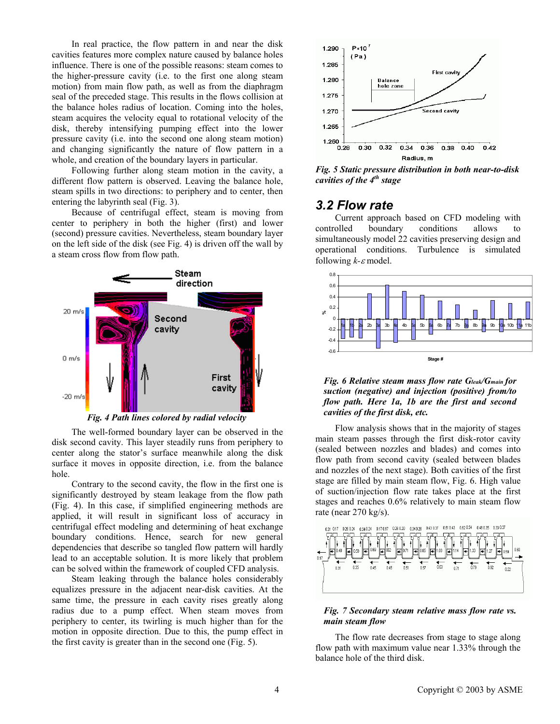In real practice, the flow pattern in and near the disk cavities features more complex nature caused by balance holes influence. There is one of the possible reasons: steam comes to the higher-pressure cavity (i.e. to the first one along steam motion) from main flow path, as well as from the diaphragm seal of the preceded stage. This results in the flows collision at the balance holes radius of location. Coming into the holes, steam acquires the velocity equal to rotational velocity of the disk, thereby intensifying pumping effect into the lower pressure cavity (i.e. into the second one along steam motion) and changing significantly the nature of flow pattern in a whole, and creation of the boundary layers in particular.

Following further along steam motion in the cavity, a different flow pattern is observed. Leaving the balance hole, steam spills in two directions: to periphery and to center, then entering the labyrinth seal (Fig. 3).

Because of centrifugal effect, steam is moving from center to periphery in both the higher (first) and lower (second) pressure cavities. Nevertheless, steam boundary layer on the left side of the disk (see Fig. 4) is driven off the wall by a steam cross flow from flow path.



*Fig. 4 Path lines colored by radial velocity* 

The well-formed boundary layer can be observed in the disk second cavity. This layer steadily runs from periphery to center along the stator's surface meanwhile along the disk surface it moves in opposite direction, i.e. from the balance hole.

Contrary to the second cavity, the flow in the first one is significantly destroyed by steam leakage from the flow path (Fig. 4). In this case, if simplified engineering methods are applied, it will result in significant loss of accuracy in centrifugal effect modeling and determining of heat exchange boundary conditions. Hence, search for new general dependencies that describe so tangled flow pattern will hardly lead to an acceptable solution. It is more likely that problem can be solved within the framework of coupled CFD analysis.

Steam leaking through the balance holes considerably equalizes pressure in the adjacent near-disk cavities. At the same time, the pressure in each cavity rises greatly along radius due to a pump effect. When steam moves from periphery to center, its twirling is much higher than for the motion in opposite direction. Due to this, the pump effect in the first cavity is greater than in the second one (Fig. 5).



*Fig. 5 Static pressure distribution in both near-to-disk cavities of the 4th stage* 

## *3.2 Flow rate*

Current approach based on CFD modeling with controlled boundary conditions allows to simultaneously model 22 cavities preserving design and operational conditions. Turbulence is simulated following *k-*ε model.





Flow analysis shows that in the majority of stages main steam passes through the first disk-rotor cavity (sealed between nozzles and blades) and comes into flow path from second cavity (sealed between blades and nozzles of the next stage). Both cavities of the first stage are filled by main steam flow, Fig. 6. High value of suction/injection flow rate takes place at the first stages and reaches 0.6% relatively to main steam flow rate (near 270 kg/s).



#### *Fig. 7 Secondary steam relative mass flow rate vs. main steam flow*

The flow rate decreases from stage to stage along flow path with maximum value near 1.33% through the balance hole of the third disk.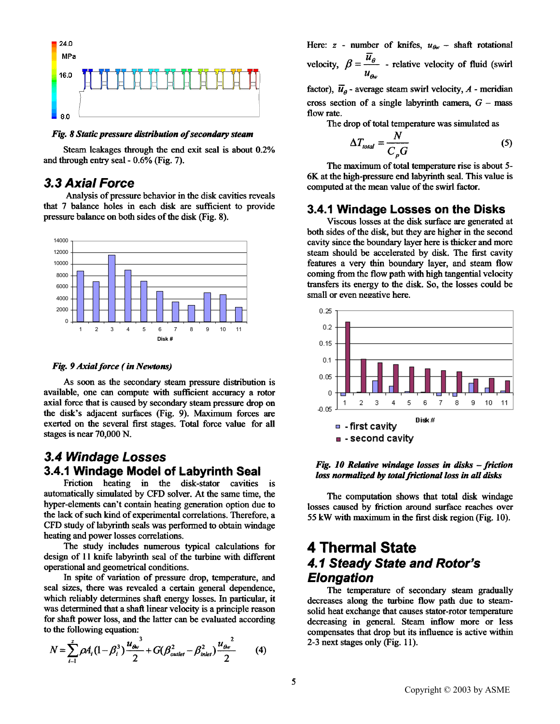

*Fig. 8 Static pressure distribution of secondary steam* 

Steam leakages through the end exit seal is about 0.2% and through entry seal - 0.6% (Fig. 7).

## *3.3 Axial Force*

Analysis of pressure behavior in the disk cavities reveals that 7 balance holes in each disk are sufficient to provide pressure balance on both sides of the disk (Fig. 8).



#### *Fig. 9 Axial force (in Newtons)*

As soon as the secondary steam pressure distribution is available, one can compute with sufficient accuracy a rotor axial force that is caused by secondary steam pressure drop on the disk's adjacent surfaces (Fig. 9). Maximum forces arc exerted on the several first stages. Total force value for all stages is near 70,000 N.

## *3.4 Windage Losses*  **3.4.1 Windage Model of Labyrinth Seal**

Friction heating in the disk-stator cavities is automatically simulated by CFD solver. At the same time, **the**  hyper-elements can't contain heating generation option due to the lack of such kind of experimental correlations. Therefore, a CFD study of labyrinth seals was performed to obtain windage heating and power losses correlations.

The study includes numerous typical calculations for design of 11 knife labyrinth seal of the turbine with different operational and geometrical conditions.

In spite of variation of pressure drop, temperature, and seal sizes, there was revealed a certain general dependence, which reliably determines shaft energy losses. In particular, **it**  was determined that a shaft linear velocity is a principle reason for shaft power loss, and the latter can be evaluated according to the following equation:

$$
N = \sum_{i=1}^{z} \rho A_i (1 - \beta_i^3) \frac{u_{\theta v}^3}{2} + G(\beta_{\text{outlet}}^2 - \beta_{\text{inlet}}^2) \frac{u_{\theta v}^2}{2}
$$
 (4)

Here:  $z$  - number of knifes,  $u_{\theta w}$  - shaft rotational velocity,  $\beta = \frac{u^2}{\gamma}$  - relative velocity of fluid (swirl)  $u_{\alpha\beta}$ 

factor),  $\overline{u}_a$  - average steam swirl velocity, A - meridian cross section of a single labyrinth camera,  $G$  – mass flow rate.

The drop of total temperature was simulated as

$$
\Delta T_{total} = \frac{N}{C_p G} \tag{5}
$$

The maximum of total temperature rise is about 5- 6K at the high-pressure end labyrinth seal. This value is computed at the mean value of the swirl factor.

### **3.4.1 Windage Losses on the Disks**

Viscous losses at the disk surface are generated at both sides of the disk, but they are higher in the second cavity since the boundary layer here is thicker and more steam should be accelerated by disk. The first cavity features a very thin boundary layer, and steam flow coming from the flow path with high tangential velocity transfers its energy to the disk. So, the losses could be small or even negative here.



#### *Fig. 10 Relative windage losses in disks -friction loss normalized by total frictional loss in all disks*

The computation shows that total disk windage losses caused by friction around surface reaches over 55 kW with maximum in the first disk region (Fig. 10).

## **4 Thermal State**  *4.1 Steady State and Rotor's Elongation*

The temperature of secondary steam gradually decreases along the turbine flow path due to steamsolid heat exchange that causes stator-rotor temperature decreasing in general. Steam inflow more or less compensates that drop but its influence is active within 2-3 next stages only (Fig. 11).